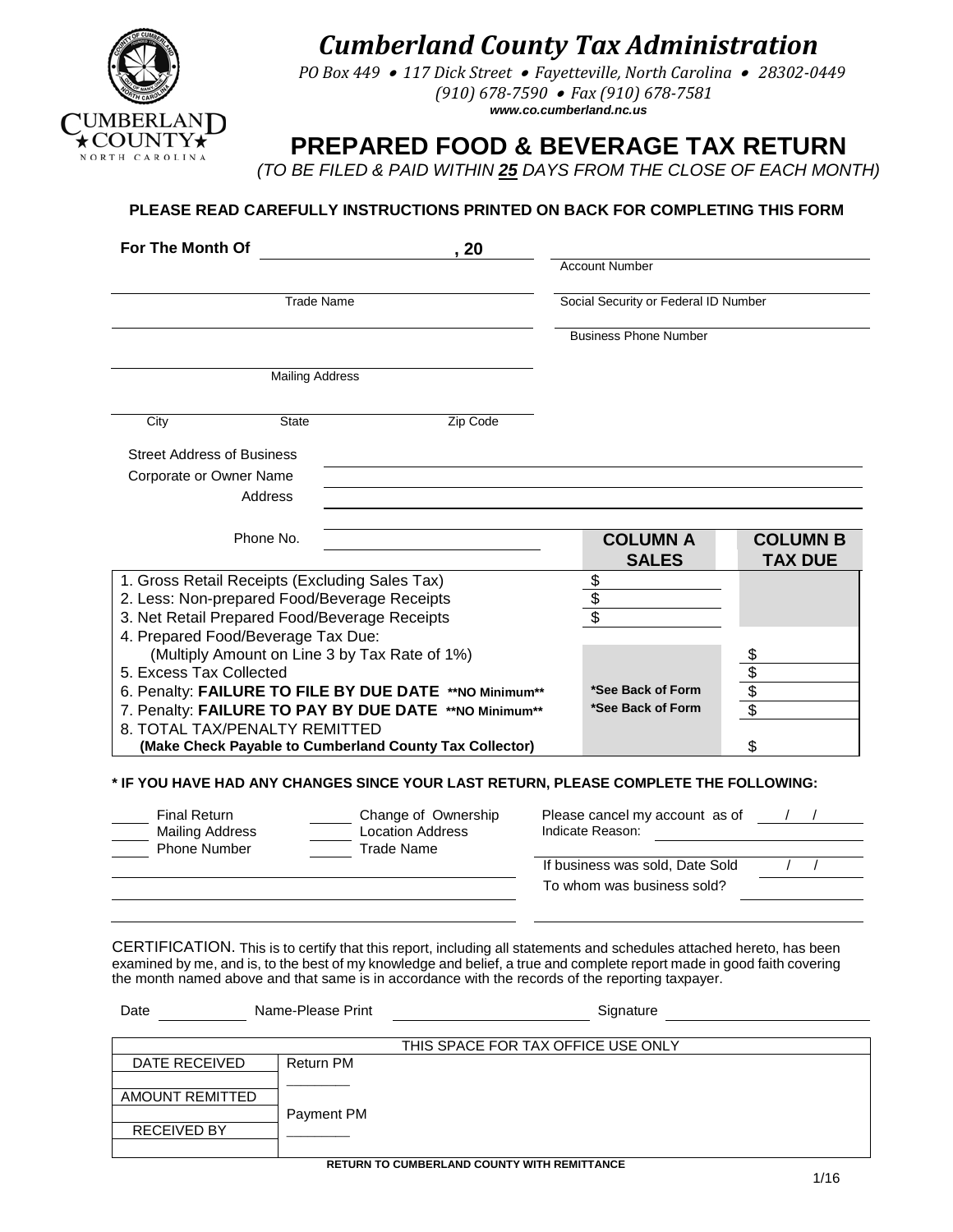

# *Cumberland County Tax Administration*

*PO Box 449* • *117 Dick Street* • *Fayetteville, North Carolina* • *28302-0449 (910) 678-7590* • *Fax (910) 678-7581 www.co.cumberland.nc.us*

## **PREPARED FOOD & BEVERAGE TAX RETURN**

*(TO BE FILED & PAID WITHIN 25 DAYS FROM THE CLOSE OF EACH MONTH)*

### **PLEASE READ CAREFULLY INSTRUCTIONS PRINTED ON BACK FOR COMPLETING THIS FORM**

| For The Month Of                                                         |                                                | .20                                                                 |                                                                                                                                            |                                   |
|--------------------------------------------------------------------------|------------------------------------------------|---------------------------------------------------------------------|--------------------------------------------------------------------------------------------------------------------------------------------|-----------------------------------|
|                                                                          |                                                |                                                                     | <b>Account Number</b>                                                                                                                      |                                   |
| <b>Trade Name</b>                                                        |                                                |                                                                     | Social Security or Federal ID Number                                                                                                       |                                   |
|                                                                          |                                                |                                                                     | <b>Business Phone Number</b>                                                                                                               |                                   |
|                                                                          | <b>Mailing Address</b>                         |                                                                     |                                                                                                                                            |                                   |
| City                                                                     | State                                          | Zip Code                                                            |                                                                                                                                            |                                   |
| <b>Street Address of Business</b>                                        |                                                |                                                                     |                                                                                                                                            |                                   |
| Corporate or Owner Name                                                  |                                                |                                                                     |                                                                                                                                            |                                   |
|                                                                          | Address                                        |                                                                     |                                                                                                                                            |                                   |
|                                                                          |                                                |                                                                     |                                                                                                                                            |                                   |
|                                                                          | Phone No.                                      |                                                                     | <b>COLUMN A</b><br><b>SALES</b>                                                                                                            | <b>COLUMN B</b><br><b>TAX DUE</b> |
|                                                                          | 1. Gross Retail Receipts (Excluding Sales Tax) |                                                                     | \$                                                                                                                                         |                                   |
|                                                                          | 2. Less: Non-prepared Food/Beverage Receipts   |                                                                     | \$                                                                                                                                         |                                   |
|                                                                          | 3. Net Retail Prepared Food/Beverage Receipts  |                                                                     | $\overline{\$}$                                                                                                                            |                                   |
|                                                                          | 4. Prepared Food/Beverage Tax Due:             |                                                                     |                                                                                                                                            |                                   |
| (Multiply Amount on Line 3 by Tax Rate of 1%)<br>5. Excess Tax Collected |                                                |                                                                     |                                                                                                                                            |                                   |
| 6. Penalty: FAILURE TO FILE BY DUE DATE **NO Minimum**                   |                                                |                                                                     | *See Back of Form                                                                                                                          |                                   |
| 7. Penalty: FAILURE TO PAY BY DUE DATE ** NO Minimum**                   |                                                |                                                                     | *See Back of Form                                                                                                                          | $\frac{6}{9}$                     |
|                                                                          | 8. TOTAL TAX/PENALTY REMITTED                  |                                                                     |                                                                                                                                            |                                   |
|                                                                          |                                                | (Make Check Payable to Cumberland County Tax Collector)             |                                                                                                                                            | \$                                |
| <b>Final Return</b><br><b>Mailing Address</b><br>Phone Number            |                                                | Change of Ownership<br><b>Location Address</b><br><b>Trade Name</b> | * IF YOU HAVE HAD ANY CHANGES SINCE YOUR LAST RETURN, PLEASE COMPLETE THE FOLLOWING:<br>Please cancel my account as of<br>Indicate Reason: |                                   |
|                                                                          |                                                |                                                                     | If business was sold, Date Sold<br>To whom was business sold?                                                                              |                                   |
|                                                                          |                                                |                                                                     |                                                                                                                                            |                                   |
|                                                                          |                                                |                                                                     |                                                                                                                                            |                                   |

CERTIFICATION. This is to certify that this report, including all statements and schedules attached hereto, has been examined by me, and is, to the best of my knowledge and belief, a true and complete report made in good faith covering the month named above and that same is in accordance with the records of the reporting taxpayer.

| Date                                               | Name-Please Print | Signature                          |  |  |
|----------------------------------------------------|-------------------|------------------------------------|--|--|
|                                                    |                   |                                    |  |  |
|                                                    |                   | THIS SPACE FOR TAX OFFICE USE ONLY |  |  |
| DATE RECEIVED                                      | Return PM         |                                    |  |  |
|                                                    |                   |                                    |  |  |
| AMOUNT REMITTED                                    |                   |                                    |  |  |
|                                                    | Payment PM        |                                    |  |  |
| <b>RECEIVED BY</b>                                 |                   |                                    |  |  |
|                                                    |                   |                                    |  |  |
| <b>RETURN TO CUMBERLAND COUNTY WITH REMITTANCE</b> |                   |                                    |  |  |